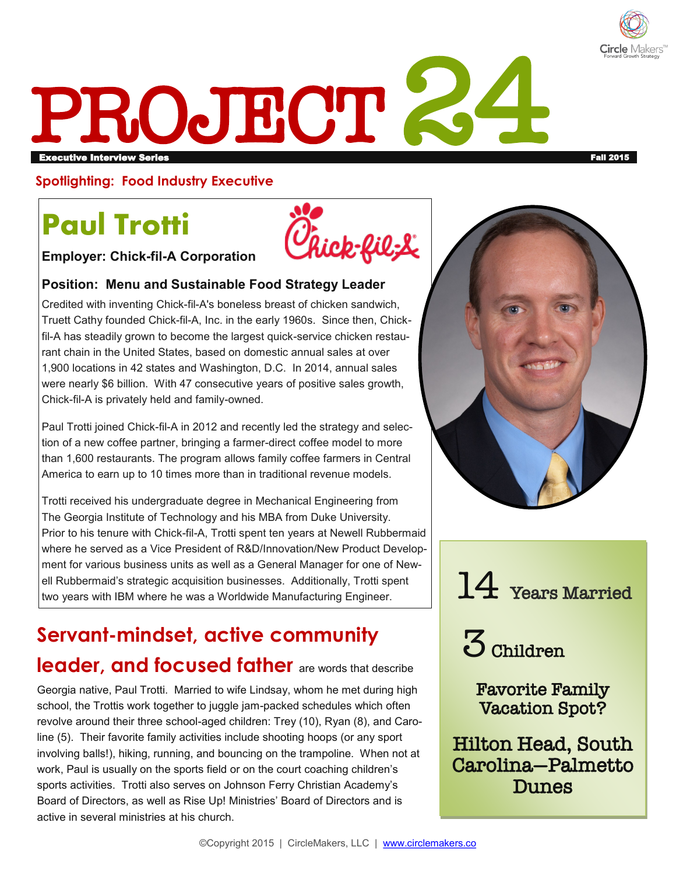

# PROJECT 24 executive Interview Series Fall 2015 and the series Fall 2015 and the series fall 2015 and the series Fall 2015

#### **Spotlighting: Food Industry Executive**

# **Paul Trotti**

hick-fil:L

**Employer: Chick-fil-A Corporation** 

#### **Position: Menu and Sustainable Food Strategy Leader**

Credited with inventing Chick-fil-A's boneless breast of chicken sandwich, Truett Cathy founded Chick-fil-A, Inc. in the early 1960s. Since then, Chickfil-A has steadily grown to become the largest quick-service chicken restaurant chain in the United States, based on domestic annual sales at over 1,900 locations in 42 states and Washington, D.C. In 2014, annual sales were nearly \$6 billion. With 47 consecutive years of positive sales growth, Chick-fil-A is privately held and family-owned.

Paul Trotti joined Chick-fil-A in 2012 and recently led the strategy and selection of a new coffee partner, bringing a farmer-direct coffee model to more than 1,600 restaurants. The program allows family coffee farmers in Central America to earn up to 10 times more than in traditional revenue models.

Trotti received his undergraduate degree in Mechanical Engineering from The Georgia Institute of Technology and his MBA from Duke University. Prior to his tenure with Chick-fil-A, Trotti spent ten years at Newell Rubbermaid where he served as a Vice President of R&D/Innovation/New Product Development for various business units as well as a General Manager for one of Newell Rubbermaid's strategic acquisition businesses. Additionally, Trotti spent ell Rubbermaid's strategic acquisition businesses. Additionally, Trotti spent values of the Vears Married two years with IBM where he was a Worldwide Manufacturing Engineer.

## **Servant-mindset, active community**

### **leader, and focused father** are words that describe

Georgia native, Paul Trotti. Married to wife Lindsay, whom he met during high school, the Trottis work together to juggle jam-packed schedules which often revolve around their three school-aged children: Trey (10), Ryan (8), and Caroline (5). Their favorite family activities include shooting hoops (or any sport involving balls!), hiking, running, and bouncing on the trampoline. When not at work, Paul is usually on the sports field or on the court coaching children's sports activities. Trotti also serves on Johnson Ferry Christian Academy's Board of Directors, as well as Rise Up! Ministries' Board of Directors and is active in several ministries at his church.



3 Children

Favorite Family Vacation Spot?

Hilton Head, South Carolina—Palmetto Dunes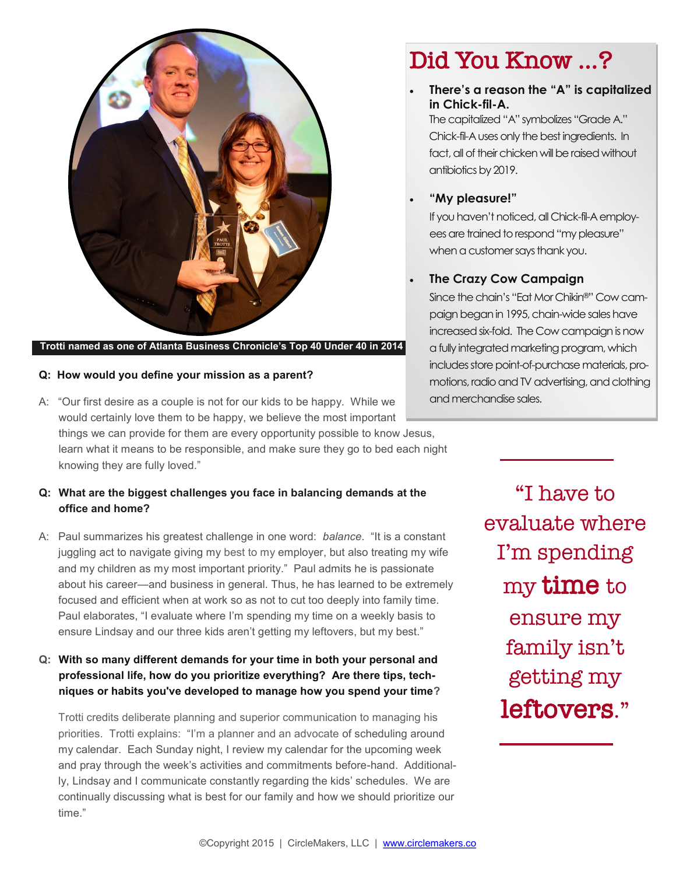

#### **Trotti named as one of Atlanta Business Chronicle's Top 40 Under 40 in 2014**

#### **Q: How would you define your mission as a parent?**

A: "Our first desire as a couple is not for our kids to be happy. While we would certainly love them to be happy, we believe the most important things we can provide for them are every opportunity possible to know Jesus, learn what it means to be responsible, and make sure they go to bed each night knowing they are fully loved."

#### **Q: What are the biggest challenges you face in balancing demands at the office and home?**

A: Paul summarizes his greatest challenge in one word: *balance*. "It is a constant juggling act to navigate giving my best to my employer, but also treating my wife and my children as my most important priority." Paul admits he is passionate about his career—and business in general. Thus, he has learned to be extremely focused and efficient when at work so as not to cut too deeply into family time. Paul elaborates, "I evaluate where I'm spending my time on a weekly basis to ensure Lindsay and our three kids aren't getting my leftovers, but my best."

#### **Q: With so many different demands for your time in both your personal and professional life, how do you prioritize everything? Are there tips, techniques or habits you've developed to manage how you spend your time?**

Trotti credits deliberate planning and superior communication to managing his priorities. Trotti explains: "I'm a planner and an advocate of scheduling around my calendar. Each Sunday night, I review my calendar for the upcoming week and pray through the week's activities and commitments before-hand. Additionally, Lindsay and I communicate constantly regarding the kids' schedules. We are continually discussing what is best for our family and how we should prioritize our time."

### Did You Know …?

 **There's a reason the "A" is capitalized in Chick-fil-A.** The capitalized "A" symbolizes "Grade A." Chick-fil-A uses only the best ingredients. In fact, all of their chicken will be raised without antibiotics by 2019.

#### **"My pleasure!"**

If you haven't noticed, all Chick-fil-A employees are trained to respond "my pleasure" when a customer says thank you.

#### **The Crazy Cow Campaign**

Since the chain's "Eat Mor Chikin®" Cow campaign began in 1995, chain-wide sales have increased six-fold. The Cow campaign is now a fully integrated marketing program, which includes store point-of-purchase materials, promotions, radio and TV advertising, and clothing and merchandise sales.

> "I have to evaluate where I'm spending my time to ensure my family isn't getting my leftovers."